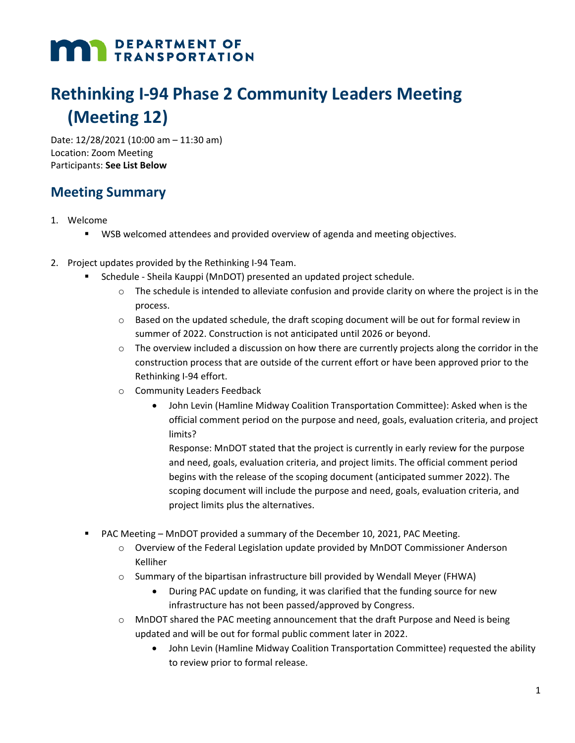# **MAN DEPARTMENT OF TRANSPORTATION**

# **Rethinking I-94 Phase 2 Community Leaders Meeting (Meeting 12)**

Date: 12/28/2021 (10:00 am – 11:30 am) Location: Zoom Meeting Participants: **See List Below**

#### **Meeting Summary**

- 1. Welcome
	- WSB welcomed attendees and provided overview of agenda and meeting objectives.
- 2. Project updates provided by the Rethinking I-94 Team.
	- Schedule Sheila Kauppi (MnDOT) presented an updated project schedule.
		- $\circ$  The schedule is intended to alleviate confusion and provide clarity on where the project is in the process.
		- $\circ$  Based on the updated schedule, the draft scoping document will be out for formal review in summer of 2022. Construction is not anticipated until 2026 or beyond.
		- $\circ$  The overview included a discussion on how there are currently projects along the corridor in the construction process that are outside of the current effort or have been approved prior to the Rethinking I-94 effort.
		- o Community Leaders Feedback
			- John Levin (Hamline Midway Coalition Transportation Committee): Asked when is the official comment period on the purpose and need, goals, evaluation criteria, and project limits?

Response: MnDOT stated that the project is currently in early review for the purpose and need, goals, evaluation criteria, and project limits. The official comment period begins with the release of the scoping document (anticipated summer 2022). The scoping document will include the purpose and need, goals, evaluation criteria, and project limits plus the alternatives.

- **PAC Meeting MnDOT provided a summary of the December 10, 2021, PAC Meeting.** 
	- $\circ$  Overview of the Federal Legislation update provided by MnDOT Commissioner Anderson Kelliher
	- $\circ$  Summary of the bipartisan infrastructure bill provided by Wendall Meyer (FHWA)
		- During PAC update on funding, it was clarified that the funding source for new infrastructure has not been passed/approved by Congress.
	- o MnDOT shared the PAC meeting announcement that the draft Purpose and Need is being updated and will be out for formal public comment later in 2022.
		- John Levin (Hamline Midway Coalition Transportation Committee) requested the ability to review prior to formal release.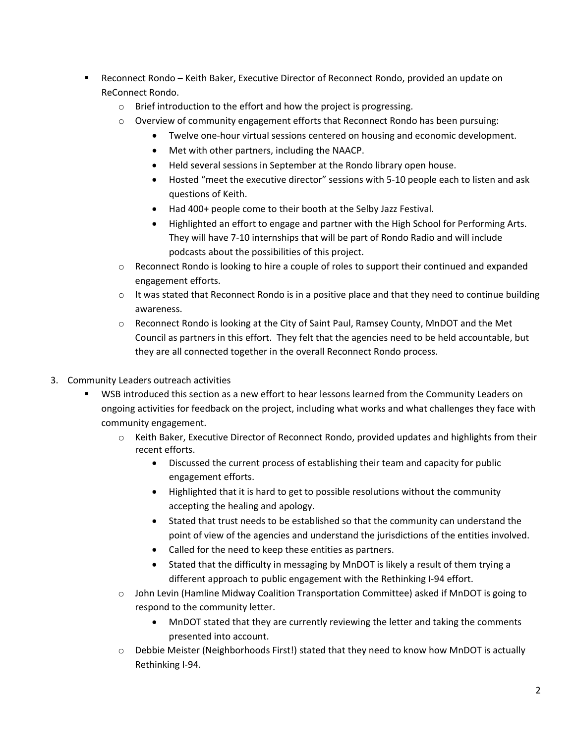- Reconnect Rondo Keith Baker, Executive Director of Reconnect Rondo, provided an update on ReConnect Rondo.
	- o Brief introduction to the effort and how the project is progressing.
	- $\circ$  Overview of community engagement efforts that Reconnect Rondo has been pursuing:
		- Twelve one-hour virtual sessions centered on housing and economic development.
		- Met with other partners, including the NAACP.
		- Held several sessions in September at the Rondo library open house.
		- Hosted "meet the executive director" sessions with 5-10 people each to listen and ask questions of Keith.
		- Had 400+ people come to their booth at the Selby Jazz Festival.
		- Highlighted an effort to engage and partner with the High School for Performing Arts. They will have 7-10 internships that will be part of Rondo Radio and will include podcasts about the possibilities of this project.
	- o Reconnect Rondo is looking to hire a couple of roles to support their continued and expanded engagement efforts.
	- $\circ$  It was stated that Reconnect Rondo is in a positive place and that they need to continue building awareness.
	- o Reconnect Rondo is looking at the City of Saint Paul, Ramsey County, MnDOT and the Met Council as partners in this effort. They felt that the agencies need to be held accountable, but they are all connected together in the overall Reconnect Rondo process.
- 3. Community Leaders outreach activities
	- WSB introduced this section as a new effort to hear lessons learned from the Community Leaders on ongoing activities for feedback on the project, including what works and what challenges they face with community engagement.
		- o Keith Baker, Executive Director of Reconnect Rondo, provided updates and highlights from their recent efforts.
			- Discussed the current process of establishing their team and capacity for public engagement efforts.
			- Highlighted that it is hard to get to possible resolutions without the community accepting the healing and apology.
			- Stated that trust needs to be established so that the community can understand the point of view of the agencies and understand the jurisdictions of the entities involved.
			- Called for the need to keep these entities as partners.
			- Stated that the difficulty in messaging by MnDOT is likely a result of them trying a different approach to public engagement with the Rethinking I-94 effort.
		- o John Levin (Hamline Midway Coalition Transportation Committee) asked if MnDOT is going to respond to the community letter.
			- MnDOT stated that they are currently reviewing the letter and taking the comments presented into account.
		- $\circ$  Debbie Meister (Neighborhoods First!) stated that they need to know how MnDOT is actually Rethinking I-94.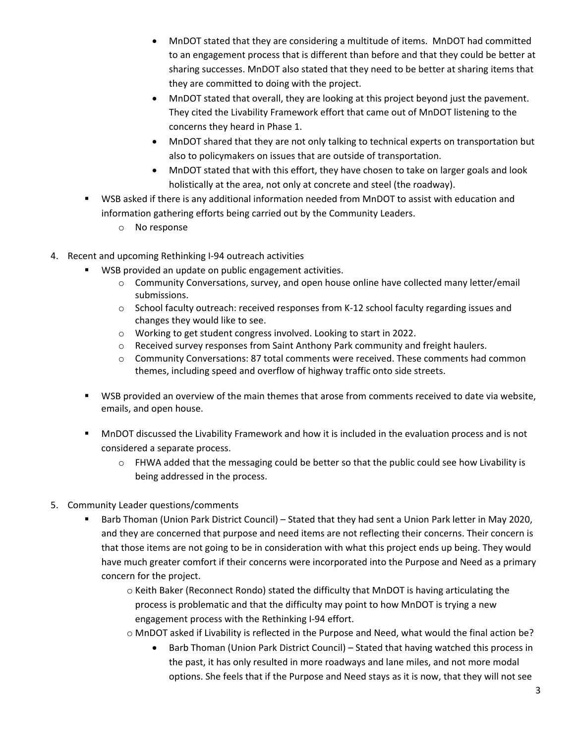- MnDOT stated that they are considering a multitude of items. MnDOT had committed to an engagement process that is different than before and that they could be better at sharing successes. MnDOT also stated that they need to be better at sharing items that they are committed to doing with the project.
- MnDOT stated that overall, they are looking at this project beyond just the pavement. They cited the Livability Framework effort that came out of MnDOT listening to the concerns they heard in Phase 1.
- MnDOT shared that they are not only talking to technical experts on transportation but also to policymakers on issues that are outside of transportation.
- MnDOT stated that with this effort, they have chosen to take on larger goals and look holistically at the area, not only at concrete and steel (the roadway).
- WSB asked if there is any additional information needed from MnDOT to assist with education and information gathering efforts being carried out by the Community Leaders.
	- o No response
- 4. Recent and upcoming Rethinking I-94 outreach activities
	- WSB provided an update on public engagement activities.
		- o Community Conversations, survey, and open house online have collected many letter/email submissions.
		- o School faculty outreach: received responses from K-12 school faculty regarding issues and changes they would like to see.
		- o Working to get student congress involved. Looking to start in 2022.
		- o Received survey responses from Saint Anthony Park community and freight haulers.
		- o Community Conversations: 87 total comments were received. These comments had common themes, including speed and overflow of highway traffic onto side streets.
	- **WSB provided an overview of the main themes that arose from comments received to date via website,** emails, and open house.
	- MnDOT discussed the Livability Framework and how it is included in the evaluation process and is not considered a separate process.
		- $\circ$  FHWA added that the messaging could be better so that the public could see how Livability is being addressed in the process.
- 5. Community Leader questions/comments
	- **Barb Thoman (Union Park District Council) Stated that they had sent a Union Park letter in May 2020,** and they are concerned that purpose and need items are not reflecting their concerns. Their concern is that those items are not going to be in consideration with what this project ends up being. They would have much greater comfort if their concerns were incorporated into the Purpose and Need as a primary concern for the project.
		- o Keith Baker (Reconnect Rondo) stated the difficulty that MnDOT is having articulating the process is problematic and that the difficulty may point to how MnDOT is trying a new engagement process with the Rethinking I-94 effort.
		- o MnDOT asked if Livability is reflected in the Purpose and Need, what would the final action be?
			- Barb Thoman (Union Park District Council) Stated that having watched this process in the past, it has only resulted in more roadways and lane miles, and not more modal options. She feels that if the Purpose and Need stays as it is now, that they will not see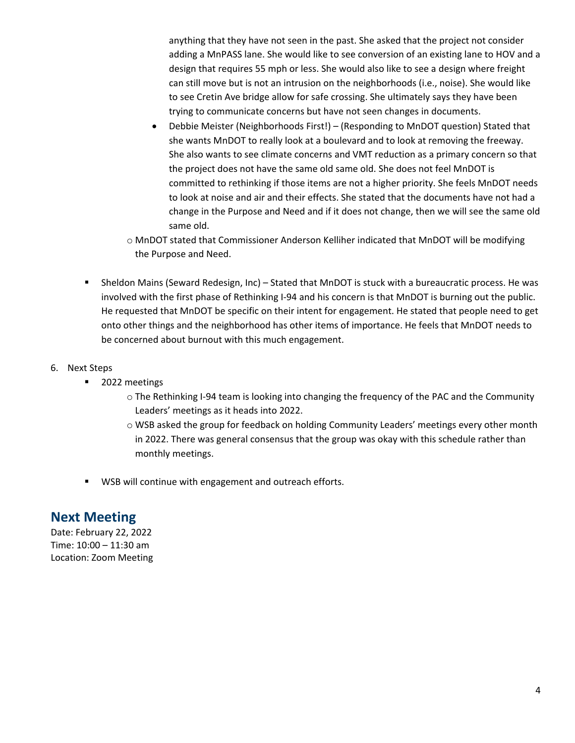anything that they have not seen in the past. She asked that the project not consider adding a MnPASS lane. She would like to see conversion of an existing lane to HOV and a design that requires 55 mph or less. She would also like to see a design where freight can still move but is not an intrusion on the neighborhoods (i.e., noise). She would like to see Cretin Ave bridge allow for safe crossing. She ultimately says they have been trying to communicate concerns but have not seen changes in documents.

- Debbie Meister (Neighborhoods First!) (Responding to MnDOT question) Stated that she wants MnDOT to really look at a boulevard and to look at removing the freeway. She also wants to see climate concerns and VMT reduction as a primary concern so that the project does not have the same old same old. She does not feel MnDOT is committed to rethinking if those items are not a higher priority. She feels MnDOT needs to look at noise and air and their effects. She stated that the documents have not had a change in the Purpose and Need and if it does not change, then we will see the same old same old.
- o MnDOT stated that Commissioner Anderson Kelliher indicated that MnDOT will be modifying the Purpose and Need.
- Sheldon Mains (Seward Redesign, Inc) Stated that MnDOT is stuck with a bureaucratic process. He was involved with the first phase of Rethinking I-94 and his concern is that MnDOT is burning out the public. He requested that MnDOT be specific on their intent for engagement. He stated that people need to get onto other things and the neighborhood has other items of importance. He feels that MnDOT needs to be concerned about burnout with this much engagement.
- 6. Next Steps
	- **2022 meetings** 
		- o The Rethinking I-94 team is looking into changing the frequency of the PAC and the Community Leaders' meetings as it heads into 2022.
		- o WSB asked the group for feedback on holding Community Leaders' meetings every other month in 2022. There was general consensus that the group was okay with this schedule rather than monthly meetings.
	- **WSB will continue with engagement and outreach efforts.**

#### **Next Meeting**

Date: February 22, 2022 Time: 10:00 – 11:30 am Location: Zoom Meeting